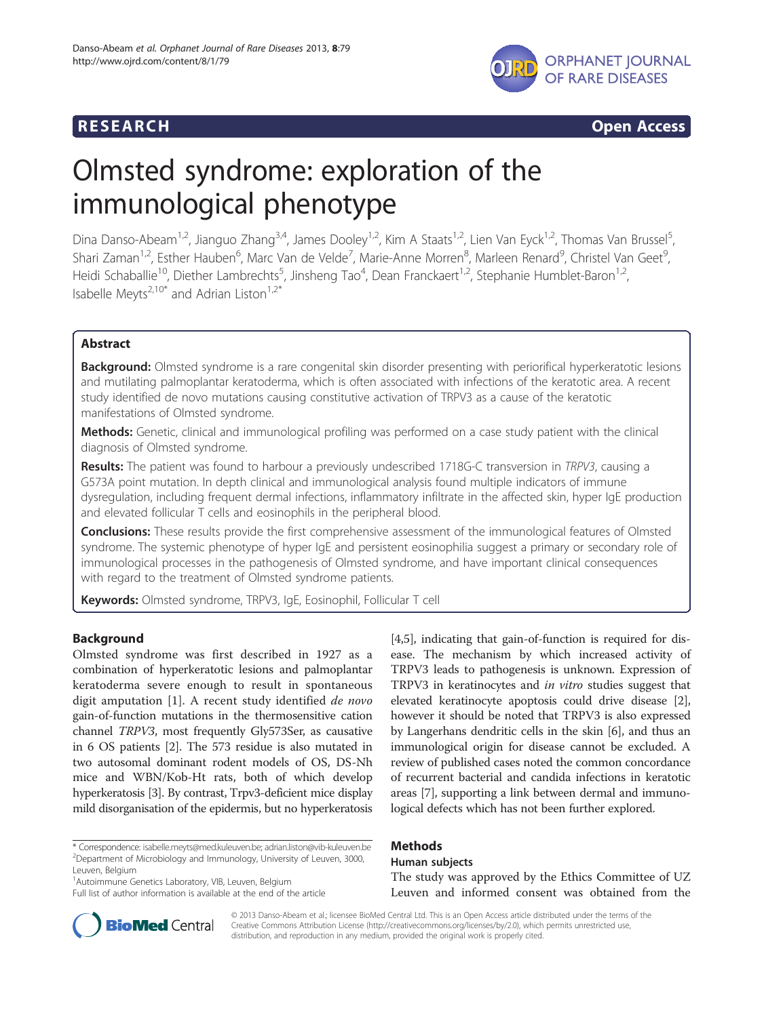

**RESEARCH CHINESEARCH CHINESEARCH CHINESE** 

# Olmsted syndrome: exploration of the immunological phenotype

Dina Danso-Abeam<sup>1,2</sup>, Jianguo Zhang<sup>3,4</sup>, James Dooley<sup>1,2</sup>, Kim A Staats<sup>1,2</sup>, Lien Van Eyck<sup>1,2</sup>, Thomas Van Brussel<sup>5</sup>, , Shari Zaman<sup>1,2</sup>, Esther Hauben<sup>6</sup>, Marc Van de Velde<sup>7</sup>, Marie-Anne Morren<sup>8</sup>, Marleen Renard<sup>9</sup>, Christel Van Geet<sup>s</sup> , Heidi Schaballie<sup>10</sup>, Diether Lambrechts<sup>5</sup>, Jinsheng Tao<sup>4</sup>, Dean Franckaert<sup>1,2</sup>, Stephanie Humblet-Baron<sup>1,2</sup>, Isabelle Meyts<sup>2,10\*</sup> and Adrian Liston<sup>1,2\*</sup>

# Abstract

Background: Olmsted syndrome is a rare congenital skin disorder presenting with periorifical hyperkeratotic lesions and mutilating palmoplantar keratoderma, which is often associated with infections of the keratotic area. A recent study identified de novo mutations causing constitutive activation of TRPV3 as a cause of the keratotic manifestations of Olmsted syndrome.

Methods: Genetic, clinical and immunological profiling was performed on a case study patient with the clinical diagnosis of Olmsted syndrome.

Results: The patient was found to harbour a previously undescribed 1718G-C transversion in TRPV3, causing a G573A point mutation. In depth clinical and immunological analysis found multiple indicators of immune dysregulation, including frequent dermal infections, inflammatory infiltrate in the affected skin, hyper IgE production and elevated follicular T cells and eosinophils in the peripheral blood.

**Conclusions:** These results provide the first comprehensive assessment of the immunological features of Olmsted syndrome. The systemic phenotype of hyper IgE and persistent eosinophilia suggest a primary or secondary role of immunological processes in the pathogenesis of Olmsted syndrome, and have important clinical consequences with regard to the treatment of Olmsted syndrome patients.

Keywords: Olmsted syndrome, TRPV3, IqE, Eosinophil, Follicular T cell

# Background

Olmsted syndrome was first described in 1927 as a combination of hyperkeratotic lesions and palmoplantar keratoderma severe enough to result in spontaneous digit amputation [[1\]](#page-6-0). A recent study identified de novo gain-of-function mutations in the thermosensitive cation channel TRPV3, most frequently Gly573Ser, as causative in 6 OS patients [[2\]](#page-6-0). The 573 residue is also mutated in two autosomal dominant rodent models of OS, DS-Nh mice and WBN/Kob-Ht rats, both of which develop hyperkeratosis [\[3](#page-6-0)]. By contrast, Trpv3-deficient mice display mild disorganisation of the epidermis, but no hyperkeratosis

\* Correspondence: [isabelle.meyts@med.kuleuven.be](mailto:isabelle.meyts@med.kuleuven.be); [adrian.liston@vib-kuleuven.be](mailto:adrian.liston@vib-kuleuven.be) <sup>2</sup> Department of Microbiology and Immunology, University of Leuven, 3000, Leuven, Belgium

1 Autoimmune Genetics Laboratory, VIB, Leuven, Belgium

Full list of author information is available at the end of the article

[[4,5\]](#page-6-0), indicating that gain-of-function is required for disease. The mechanism by which increased activity of TRPV3 leads to pathogenesis is unknown. Expression of TRPV3 in keratinocytes and in vitro studies suggest that elevated keratinocyte apoptosis could drive disease [[2](#page-6-0)], however it should be noted that TRPV3 is also expressed by Langerhans dendritic cells in the skin [[6\]](#page-6-0), and thus an immunological origin for disease cannot be excluded. A review of published cases noted the common concordance of recurrent bacterial and candida infections in keratotic areas [\[7](#page-6-0)], supporting a link between dermal and immunological defects which has not been further explored.

# Methods

# Human subjects

The study was approved by the Ethics Committee of UZ Leuven and informed consent was obtained from the



© 2013 Danso-Abeam et al.; licensee BioMed Central Ltd. This is an Open Access article distributed under the terms of the Creative Commons Attribution License (<http://creativecommons.org/licenses/by/2.0>), which permits unrestricted use, distribution, and reproduction in any medium, provided the original work is properly cited.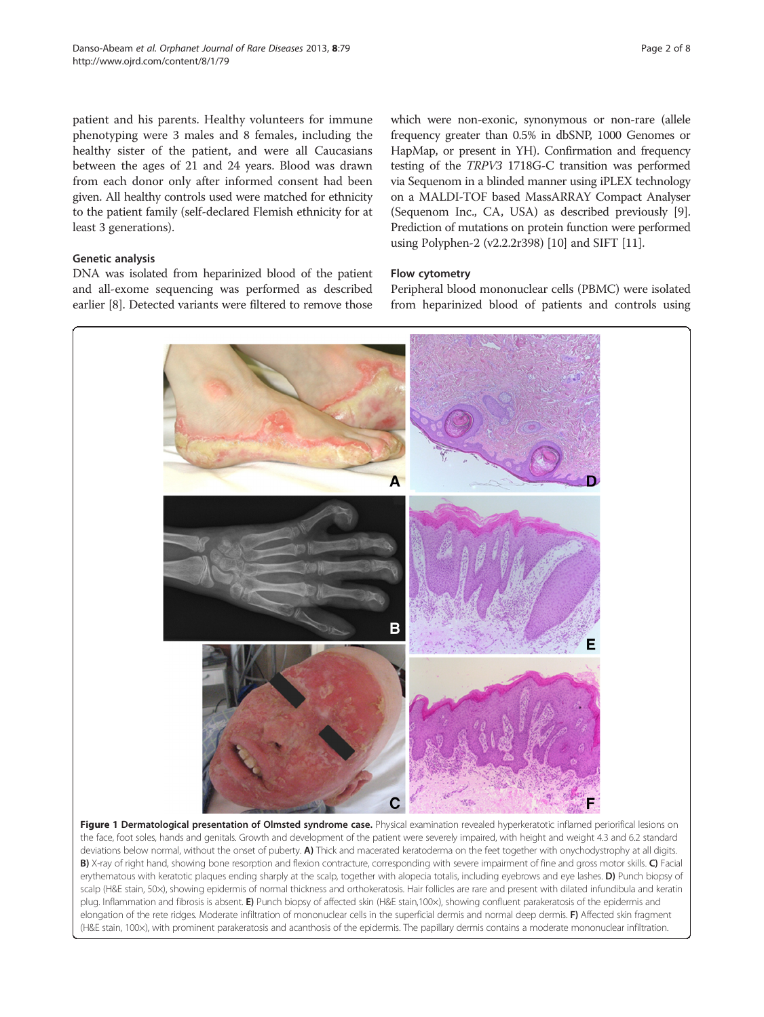<span id="page-1-0"></span>patient and his parents. Healthy volunteers for immune phenotyping were 3 males and 8 females, including the healthy sister of the patient, and were all Caucasians between the ages of 21 and 24 years. Blood was drawn from each donor only after informed consent had been given. All healthy controls used were matched for ethnicity to the patient family (self-declared Flemish ethnicity for at least 3 generations).

# Genetic analysis

DNA was isolated from heparinized blood of the patient and all-exome sequencing was performed as described earlier [[8](#page-6-0)]. Detected variants were filtered to remove those which were non-exonic, synonymous or non-rare (allele frequency greater than 0.5% in dbSNP, 1000 Genomes or HapMap, or present in YH). Confirmation and frequency testing of the TRPV3 1718G-C transition was performed via Sequenom in a blinded manner using iPLEX technology on a MALDI-TOF based MassARRAY Compact Analyser (Sequenom Inc., CA, USA) as described previously [[9](#page-6-0)]. Prediction of mutations on protein function were performed using Polyphen-2 (v2.2.2r398) [[10](#page-6-0)] and SIFT [\[11\]](#page-7-0).

#### Flow cytometry

Peripheral blood mononuclear cells (PBMC) were isolated from heparinized blood of patients and controls using

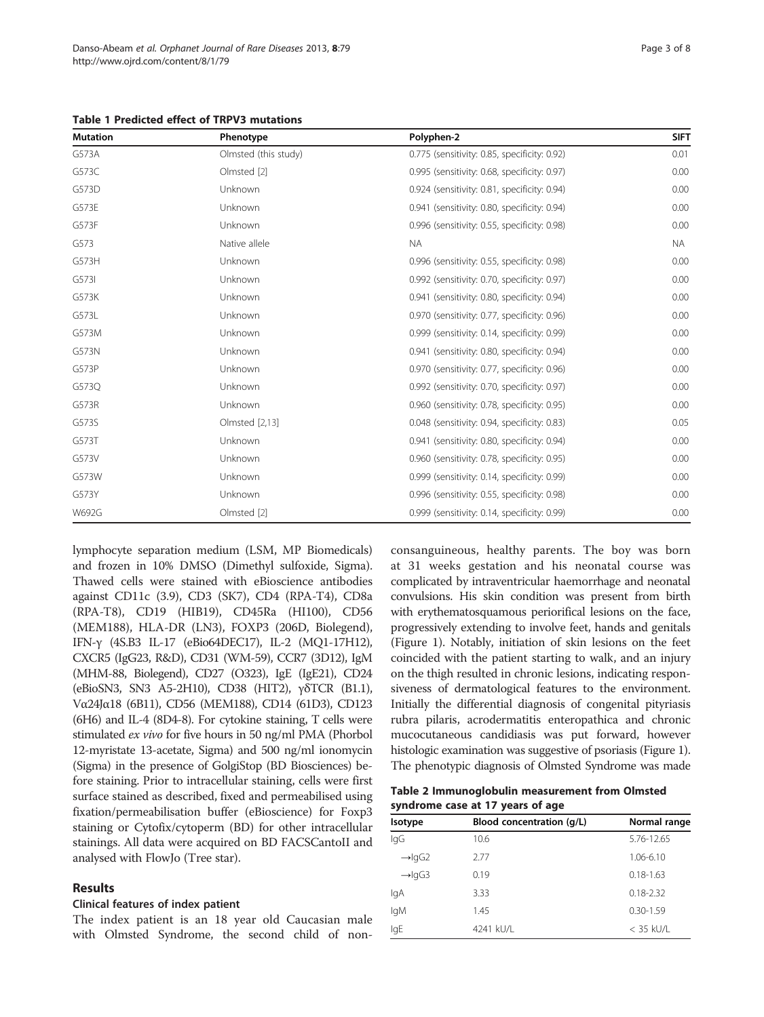<span id="page-2-0"></span>Table 1 Predicted effect of TRPV3 mutations

| <b>Mutation</b> | Phenotype            | Polyphen-2                                   | <b>SIFT</b> |
|-----------------|----------------------|----------------------------------------------|-------------|
| G573A           | Olmsted (this study) | 0.775 (sensitivity: 0.85, specificity: 0.92) | 0.01        |
| G573C           | Olmsted [2]          | 0.995 (sensitivity: 0.68, specificity: 0.97) | 0.00        |
| G573D           | Unknown              | 0.924 (sensitivity: 0.81, specificity: 0.94) | 0.00        |
| G573E           | Unknown              | 0.941 (sensitivity: 0.80, specificity: 0.94) | 0.00        |
| G573F           | Unknown              | 0.996 (sensitivity: 0.55, specificity: 0.98) | 0.00        |
| G573            | Native allele        | NA.                                          | <b>NA</b>   |
| G573H           | Unknown              | 0.996 (sensitivity: 0.55, specificity: 0.98) | 0.00        |
| G573I           | Unknown              | 0.992 (sensitivity: 0.70, specificity: 0.97) | 0.00        |
| G573K           | Unknown              | 0.941 (sensitivity: 0.80, specificity: 0.94) | 0.00        |
| G573L           | Unknown              | 0.970 (sensitivity: 0.77, specificity: 0.96) | 0.00        |
| G573M           | Unknown              | 0.999 (sensitivity: 0.14, specificity: 0.99) | 0.00        |
| G573N           | Unknown              | 0.941 (sensitivity: 0.80, specificity: 0.94) | 0.00        |
| G573P           | Unknown              | 0.970 (sensitivity: 0.77, specificity: 0.96) | 0.00        |
| G573Q           | Unknown              | 0.992 (sensitivity: 0.70, specificity: 0.97) | 0.00        |
| G573R           | Unknown              | 0.960 (sensitivity: 0.78, specificity: 0.95) | 0.00        |
| G573S           | Olmsted [2,13]       | 0.048 (sensitivity: 0.94, specificity: 0.83) | 0.05        |
| G573T           | Unknown              | 0.941 (sensitivity: 0.80, specificity: 0.94) | 0.00        |
| G573V           | Unknown              | 0.960 (sensitivity: 0.78, specificity: 0.95) | 0.00        |
| G573W           | Unknown              | 0.999 (sensitivity: 0.14, specificity: 0.99) | 0.00        |
| G573Y           | Unknown              | 0.996 (sensitivity: 0.55, specificity: 0.98) | 0.00        |
| W692G           | Olmsted [2]          | 0.999 (sensitivity: 0.14, specificity: 0.99) | 0.00        |

lymphocyte separation medium (LSM, MP Biomedicals) and frozen in 10% DMSO (Dimethyl sulfoxide, Sigma). Thawed cells were stained with eBioscience antibodies against CD11c (3.9), CD3 (SK7), CD4 (RPA-T4), CD8a (RPA-T8), CD19 (HIB19), CD45Ra (HI100), CD56 (MEM188), HLA-DR (LN3), FOXP3 (206D, Biolegend), IFN-γ (4S.B3 IL-17 (eBio64DEC17), IL-2 (MQ1-17H12), CXCR5 (IgG23, R&D), CD31 (WM-59), CCR7 (3D12), IgM (MHM-88, Biolegend), CD27 (O323), IgE (IgE21), CD24 (eBioSN3, SN3 A5-2H10), CD38 (HIT2), γδTCR (B1.1), Vα24Jα18 (6B11), CD56 (MEM188), CD14 (61D3), CD123 (6H6) and IL-4 (8D4-8). For cytokine staining, T cells were stimulated ex vivo for five hours in 50 ng/ml PMA (Phorbol 12-myristate 13-acetate, Sigma) and 500 ng/ml ionomycin (Sigma) in the presence of GolgiStop (BD Biosciences) before staining. Prior to intracellular staining, cells were first surface stained as described, fixed and permeabilised using fixation/permeabilisation buffer (eBioscience) for Foxp3 staining or Cytofix/cytoperm (BD) for other intracellular stainings. All data were acquired on BD FACSCantoII and analysed with FlowJo (Tree star).

# Results

# Clinical features of index patient

The index patient is an 18 year old Caucasian male with Olmsted Syndrome, the second child of nonconsanguineous, healthy parents. The boy was born at 31 weeks gestation and his neonatal course was complicated by intraventricular haemorrhage and neonatal convulsions. His skin condition was present from birth with erythematosquamous periorifical lesions on the face, progressively extending to involve feet, hands and genitals (Figure [1](#page-1-0)). Notably, initiation of skin lesions on the feet coincided with the patient starting to walk, and an injury on the thigh resulted in chronic lesions, indicating responsiveness of dermatological features to the environment. Initially the differential diagnosis of congenital pityriasis rubra pilaris, acrodermatitis enteropathica and chronic mucocutaneous candidiasis was put forward, however histologic examination was suggestive of psoriasis (Figure [1](#page-1-0)). The phenotypic diagnosis of Olmsted Syndrome was made

Table 2 Immunoglobulin measurement from Olmsted syndrome case at 17 years of age

| Isotype            | Blood concentration (g/L) | Normal range  |
|--------------------|---------------------------|---------------|
| lgG                | 10.6                      | 5.76-12.65    |
| $\rightarrow$ lgG2 | 2.77                      | 1.06-6.10     |
| $\rightarrow$ lgG3 | 0.19                      | $0.18 - 1.63$ |
| lgA                | 3.33                      | $0.18 - 2.32$ |
| lgM                | 1.45                      | $0.30 - 1.59$ |
| IgE                | 4241 kU/L                 | $<$ 35 kU/L   |
|                    |                           |               |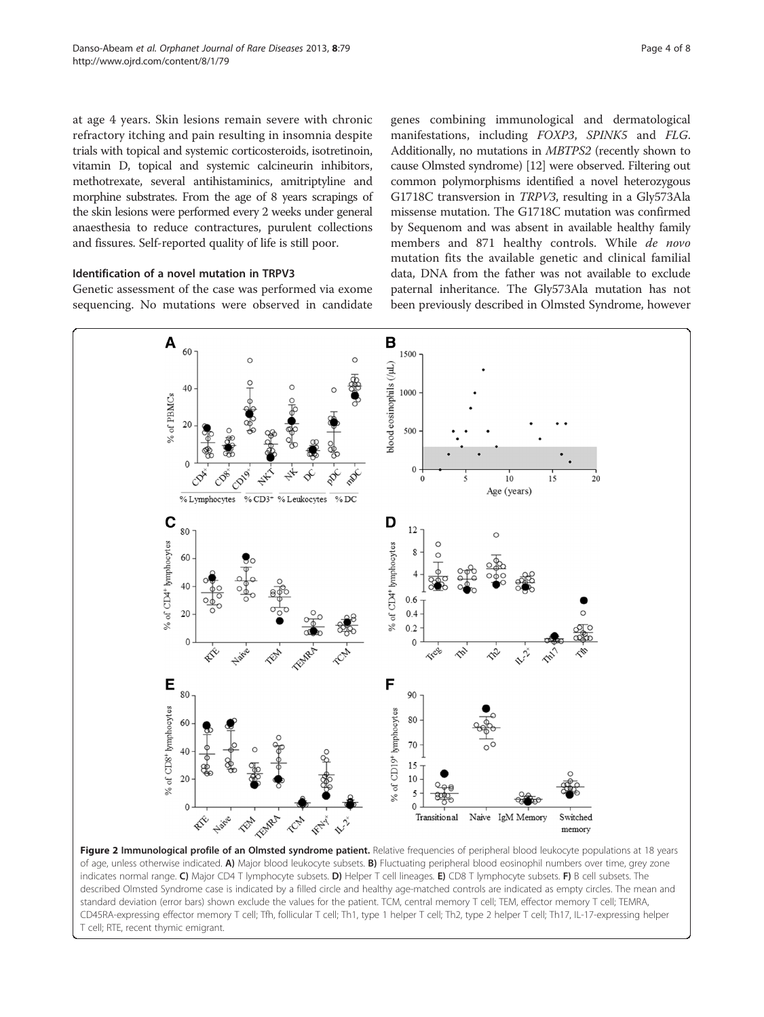<span id="page-3-0"></span>at age 4 years. Skin lesions remain severe with chronic refractory itching and pain resulting in insomnia despite trials with topical and systemic corticosteroids, isotretinoin, vitamin D, topical and systemic calcineurin inhibitors, methotrexate, several antihistaminics, amitriptyline and morphine substrates. From the age of 8 years scrapings of the skin lesions were performed every 2 weeks under general anaesthesia to reduce contractures, purulent collections and fissures. Self-reported quality of life is still poor.

#### Identification of a novel mutation in TRPV3

Genetic assessment of the case was performed via exome sequencing. No mutations were observed in candidate genes combining immunological and dermatological manifestations, including FOXP3, SPINK5 and FLG. Additionally, no mutations in MBTPS2 (recently shown to cause Olmsted syndrome) [\[12\]](#page-7-0) were observed. Filtering out common polymorphisms identified a novel heterozygous G1718C transversion in TRPV3, resulting in a Gly573Ala missense mutation. The G1718C mutation was confirmed by Sequenom and was absent in available healthy family members and 871 healthy controls. While de novo mutation fits the available genetic and clinical familial data, DNA from the father was not available to exclude paternal inheritance. The Gly573Ala mutation has not been previously described in Olmsted Syndrome, however



Figure 2 Immunological profile of an Olmsted syndrome patient. Relative frequencies of peripheral blood leukocyte populations at 18 years of age, unless otherwise indicated. A) Major blood leukocyte subsets. B) Fluctuating peripheral blood eosinophil numbers over time, grey zone indicates normal range. C) Major CD4 T lymphocyte subsets. D) Helper T cell lineages. E) CD8 T lymphocyte subsets. F) B cell subsets. The described Olmsted Syndrome case is indicated by a filled circle and healthy age-matched controls are indicated as empty circles. The mean and standard deviation (error bars) shown exclude the values for the patient. TCM, central memory T cell; TEM, effector memory T cell; TEMRA, CD45RA-expressing effector memory T cell; Tfh, follicular T cell; Th1, type 1 helper T cell; Th2, type 2 helper T cell; Th17, IL-17-expressing helper T cell; RTE, recent thymic emigrant.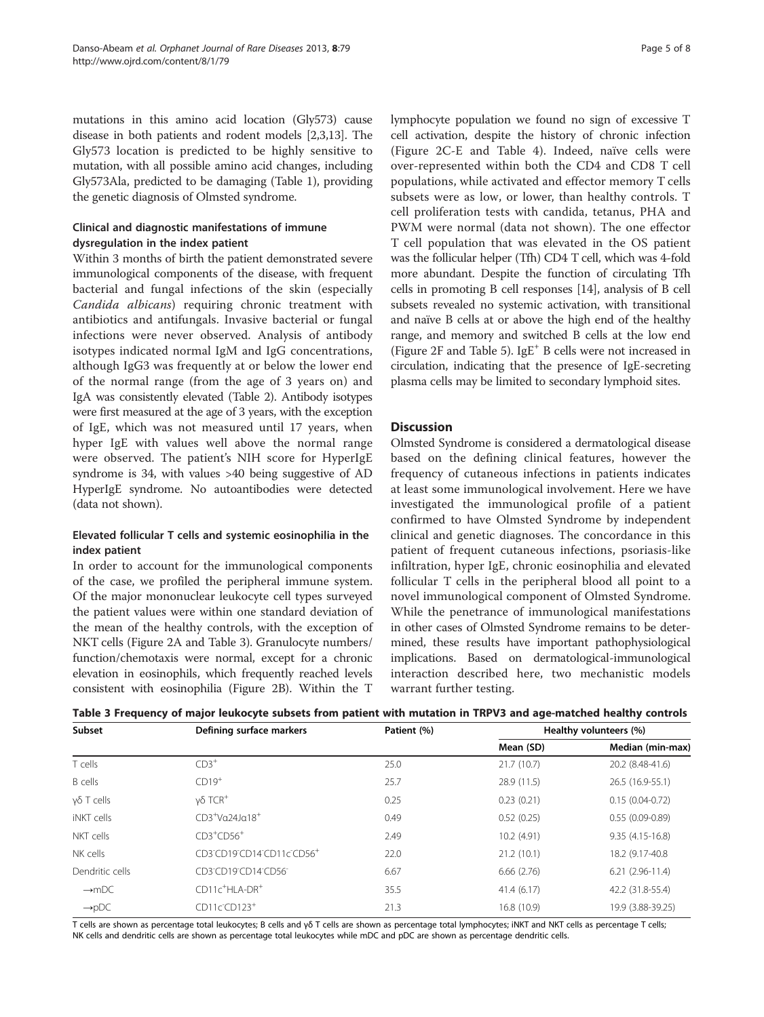mutations in this amino acid location (Gly573) cause disease in both patients and rodent models [\[2,3](#page-6-0)[,13\]](#page-7-0). The Gly573 location is predicted to be highly sensitive to mutation, with all possible amino acid changes, including Gly573Ala, predicted to be damaging (Table [1\)](#page-2-0), providing the genetic diagnosis of Olmsted syndrome.

# Clinical and diagnostic manifestations of immune dysregulation in the index patient

Within 3 months of birth the patient demonstrated severe immunological components of the disease, with frequent bacterial and fungal infections of the skin (especially Candida albicans) requiring chronic treatment with antibiotics and antifungals. Invasive bacterial or fungal infections were never observed. Analysis of antibody isotypes indicated normal IgM and IgG concentrations, although IgG3 was frequently at or below the lower end of the normal range (from the age of 3 years on) and IgA was consistently elevated (Table [2\)](#page-2-0). Antibody isotypes were first measured at the age of 3 years, with the exception of IgE, which was not measured until 17 years, when hyper IgE with values well above the normal range were observed. The patient's NIH score for HyperIgE syndrome is 34, with values >40 being suggestive of AD HyperIgE syndrome. No autoantibodies were detected (data not shown).

# Elevated follicular T cells and systemic eosinophilia in the index patient

In order to account for the immunological components of the case, we profiled the peripheral immune system. Of the major mononuclear leukocyte cell types surveyed the patient values were within one standard deviation of the mean of the healthy controls, with the exception of NKT cells (Figure [2](#page-3-0)A and Table 3). Granulocyte numbers/ function/chemotaxis were normal, except for a chronic elevation in eosinophils, which frequently reached levels consistent with eosinophilia (Figure [2B](#page-3-0)). Within the T lymphocyte population we found no sign of excessive T cell activation, despite the history of chronic infection (Figure [2C](#page-3-0)-E and Table [4\)](#page-5-0). Indeed, naïve cells were over-represented within both the CD4 and CD8 T cell populations, while activated and effector memory T cells subsets were as low, or lower, than healthy controls. T cell proliferation tests with candida, tetanus, PHA and PWM were normal (data not shown). The one effector T cell population that was elevated in the OS patient was the follicular helper (Tfh) CD4 T cell, which was 4-fold more abundant. Despite the function of circulating Tfh cells in promoting B cell responses [[14\]](#page-7-0), analysis of B cell subsets revealed no systemic activation, with transitional and naïve B cells at or above the high end of the healthy range, and memory and switched B cells at the low end (Figure [2F](#page-3-0) and Table [5](#page-5-0)). IgE+ B cells were not increased in circulation, indicating that the presence of IgE-secreting plasma cells may be limited to secondary lymphoid sites.

# **Discussion**

Olmsted Syndrome is considered a dermatological disease based on the defining clinical features, however the frequency of cutaneous infections in patients indicates at least some immunological involvement. Here we have investigated the immunological profile of a patient confirmed to have Olmsted Syndrome by independent clinical and genetic diagnoses. The concordance in this patient of frequent cutaneous infections, psoriasis-like infiltration, hyper IgE, chronic eosinophilia and elevated follicular T cells in the peripheral blood all point to a novel immunological component of Olmsted Syndrome. While the penetrance of immunological manifestations in other cases of Olmsted Syndrome remains to be determined, these results have important pathophysiological implications. Based on dermatological-immunological interaction described here, two mechanistic models warrant further testing.

|  |  | Table 3 Frequency of major leukocyte subsets from patient with mutation in TRPV3 and age-matched healthy controls |  |
|--|--|-------------------------------------------------------------------------------------------------------------------|--|
|--|--|-------------------------------------------------------------------------------------------------------------------|--|

| Subset            | Defining surface markers                  | Patient (%) | Healthy volunteers (%) |                     |
|-------------------|-------------------------------------------|-------------|------------------------|---------------------|
|                   |                                           |             | Mean (SD)              | Median (min-max)    |
| T cells           | $CD3^+$                                   | 25.0        | 21.7(10.7)             | 20.2 (8.48-41.6)    |
| <b>B</b> cells    | $CD19+$                                   | 25.7        | 28.9 (11.5)            | 26.5 (16.9-55.1)    |
| $νδ T$ cells      | $νδ$ TCR <sup>+</sup>                     | 0.25        | 0.23(0.21)             | $0.15(0.04 - 0.72)$ |
| <b>iNKT</b> cells | $CD3^{+}$ Va24Ja18 <sup>+</sup>           | 0.49        | 0.52(0.25)             | $0.55(0.09-0.89)$   |
| NKT cells         | $CD3+CDS6+$                               | 2.49        | 10.2 (4.91)            | $9.35(4.15-16.8)$   |
| NK cells          | CD3CD19CD14CD11cCD56 <sup>+</sup>         | 22.0        | 21.2(10.1)             | 18.2 (9.17-40.8)    |
| Dendritic cells   | CD3CD19CD14CD56                           | 6.67        | 6.66(2.76)             | $6.21(2.96-11.4)$   |
| $\rightarrow$ mDC | CD11c <sup>+</sup> HLA-DR <sup>+</sup>    | 35.5        | 41.4(6.17)             | 42.2 (31.8-55.4)    |
| $\rightarrow$ pDC | $CD11c$ <sup>-</sup> $CD123$ <sup>+</sup> | 21.3        | 16.8 (10.9)            | 19.9 (3.88-39.25)   |

T cells are shown as percentage total leukocytes; B cells and γδ T cells are shown as percentage total lymphocytes; iNKT and NKT cells as percentage T cells; NK cells and dendritic cells are shown as percentage total leukocytes while mDC and pDC are shown as percentage dendritic cells.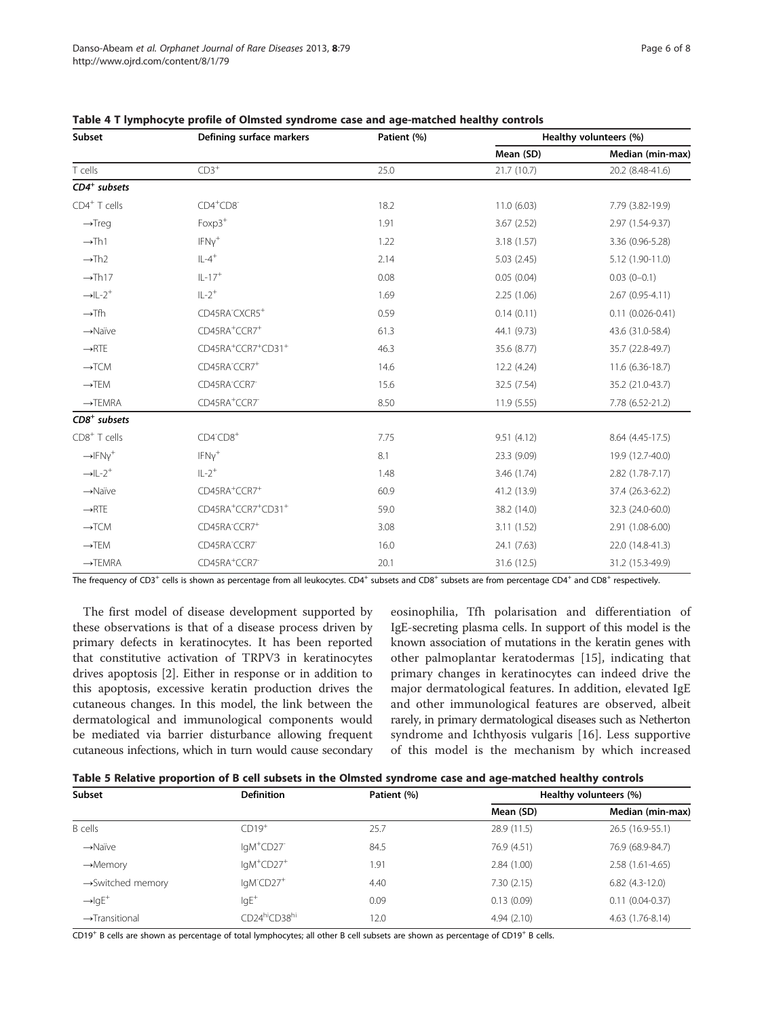| Subset                          | Defining surface markers                                | Patient (%) | Healthy volunteers (%) |                      |
|---------------------------------|---------------------------------------------------------|-------------|------------------------|----------------------|
|                                 |                                                         |             | Mean (SD)              | Median (min-max)     |
| T cells                         | $CD3+$                                                  | 25.0        | 21.7 (10.7)            | 20.2 (8.48-41.6)     |
| $CD4+$ subsets                  |                                                         |             |                        |                      |
| $CD4+$ T cells                  | $CD4^+CD8^-$                                            | 18.2        | 11.0(6.03)             | 7.79 (3.82-19.9)     |
| $\rightarrow$ Treg              | $Foxp3$ <sup>+</sup>                                    | 1.91        | 3.67(2.52)             | 2.97 (1.54-9.37)     |
| $\rightarrow$ Th1               | $IFNv+$                                                 | 1.22        | 3.18(1.57)             | 3.36 (0.96-5.28)     |
| $\rightarrow$ Th2               | $IL-4$ <sup>+</sup>                                     | 2.14        | 5.03(2.45)             | 5.12 (1.90-11.0)     |
| $\rightarrow$ Th17              | $IL - 17 +$                                             | 0.08        | 0.05(0.04)             | $0.03(0-0.1)$        |
| $\rightarrow$ IL-2 <sup>+</sup> | $IL-2$ <sup>+</sup>                                     | 1.69        | 2.25 (1.06)            | 2.67 (0.95-4.11)     |
| $\rightarrow$ Tfh               | CD45RA <sup>-</sup> CXCR5 <sup>+</sup>                  | 0.59        | 0.14(0.11)             | $0.11(0.026 - 0.41)$ |
| $\rightarrow$ Naïve             | CD45RA <sup>+</sup> CCR7 <sup>+</sup>                   | 61.3        | 44.1 (9.73)            | 43.6 (31.0-58.4)     |
| $\rightarrow$ RTE               | CD45RA <sup>+</sup> CCR7 <sup>+</sup> CD31 <sup>+</sup> | 46.3        | 35.6 (8.77)            | 35.7 (22.8-49.7)     |
| $\rightarrow$ TCM               | CD45RA <sup>-</sup> CCR7 <sup>+</sup>                   | 14.6        | 12.2 (4.24)            | 11.6 (6.36-18.7)     |
| $\rightarrow$ TEM               | CD45RA <sup>-</sup> CCR7 <sup>-</sup>                   | 15.6        | 32.5 (7.54)            | 35.2 (21.0-43.7)     |
| $\rightarrow$ TEMRA             | CD45RA <sup>+</sup> CCR7                                | 8.50        | 11.9(5.55)             | 7.78 (6.52-21.2)     |
| $CDB+ subsets$                  |                                                         |             |                        |                      |
| $CDS+ T cells$                  | $CD4$ <sup>-<math>CD8</math><sup>+</sup></sup>          | 7.75        | 9.51(4.12)             | 8.64 (4.45-17.5)     |
| $\rightarrow$ IFNy <sup>+</sup> | $IFNy^+$                                                | 8.1         | 23.3 (9.09)            | 19.9 (12.7-40.0)     |
| $\rightarrow$ IL-2 <sup>+</sup> | $IL-2$ <sup>+</sup>                                     | 1.48        | 3.46 (1.74)            | 2.82 (1.78-7.17)     |
| $\rightarrow$ Naïve             | CD45RA <sup>+</sup> CCR7 <sup>+</sup>                   | 60.9        | 41.2 (13.9)            | 37.4 (26.3-62.2)     |
| $\rightarrow$ RTE               | CD45RA <sup>+</sup> CCR7 <sup>+</sup> CD31 <sup>+</sup> | 59.0        | 38.2 (14.0)            | 32.3 (24.0-60.0)     |
| $\rightarrow$ TCM               | CD45RA <sup>-</sup> CCR7 <sup>+</sup>                   | 3.08        | 3.11(1.52)             | 2.91 (1.08-6.00)     |
| $\rightarrow$ TEM               | CD45RA <sup>-</sup> CCR7 <sup>-</sup>                   | 16.0        | 24.1 (7.63)            | 22.0 (14.8-41.3)     |
| $\rightarrow$ TEMRA             | CD45RA <sup>+</sup> CCR7                                | 20.1        | 31.6 (12.5)            | 31.2 (15.3-49.9)     |

<span id="page-5-0"></span>Table 4 T lymphocyte profile of Olmsted syndrome case and age-matched healthy controls

The frequency of CD3<sup>+</sup> cells is shown as percentage from all leukocytes. CD4<sup>+</sup> subsets and CD8<sup>+</sup> subsets are from percentage CD4<sup>+</sup> and CD8<sup>+</sup> respectively.

The first model of disease development supported by these observations is that of a disease process driven by primary defects in keratinocytes. It has been reported that constitutive activation of TRPV3 in keratinocytes drives apoptosis [\[2](#page-6-0)]. Either in response or in addition to this apoptosis, excessive keratin production drives the cutaneous changes. In this model, the link between the dermatological and immunological components would be mediated via barrier disturbance allowing frequent cutaneous infections, which in turn would cause secondary eosinophilia, Tfh polarisation and differentiation of IgE-secreting plasma cells. In support of this model is the known association of mutations in the keratin genes with other palmoplantar keratodermas [\[15](#page-7-0)], indicating that primary changes in keratinocytes can indeed drive the major dermatological features. In addition, elevated IgE and other immunological features are observed, albeit rarely, in primary dermatological diseases such as Netherton syndrome and Ichthyosis vulgaris [[16\]](#page-7-0). Less supportive of this model is the mechanism by which increased

|  | Table 5 Relative proportion of B cell subsets in the Olmsted syndrome case and age-matched healthy controls |
|--|-------------------------------------------------------------------------------------------------------------|
|--|-------------------------------------------------------------------------------------------------------------|

| Subset                         | <b>Definition</b><br>Patient (%)   |      | Healthy volunteers (%) |                     |
|--------------------------------|------------------------------------|------|------------------------|---------------------|
|                                |                                    |      | Mean (SD)              | Median (min-max)    |
| <b>B</b> cells                 | $CD19+$                            | 25.7 | 28.9 (11.5)            | 26.5 (16.9-55.1)    |
| $\rightarrow$ Naïve            | lgM <sup>+</sup> CD27              | 84.5 | 76.9 (4.51)            | 76.9 (68.9-84.7)    |
| $\rightarrow$ Memory           | lgM <sup>+</sup> CD27 <sup>+</sup> | 1.91 | 2.84(1.00)             | 2.58 (1.61-4.65)    |
| $\rightarrow$ Switched memory  | lgMCD27 <sup>+</sup>               | 4.40 | 7.30(2.15)             | $6.82(4.3-12.0)$    |
| $\rightarrow$ IgE <sup>+</sup> | $lgE$ <sup>+</sup>                 | 0.09 | 0.13(0.09)             | $0.11(0.04 - 0.37)$ |
| $\rightarrow$ Transitional     | CD24hiCD38hi                       | 12.0 | 4.94(2.10)             | 4.63 (1.76-8.14)    |
|                                |                                    |      |                        |                     |

CD19<sup>+</sup> B cells are shown as percentage of total lymphocytes; all other B cell subsets are shown as percentage of CD19<sup>+</sup> B cells.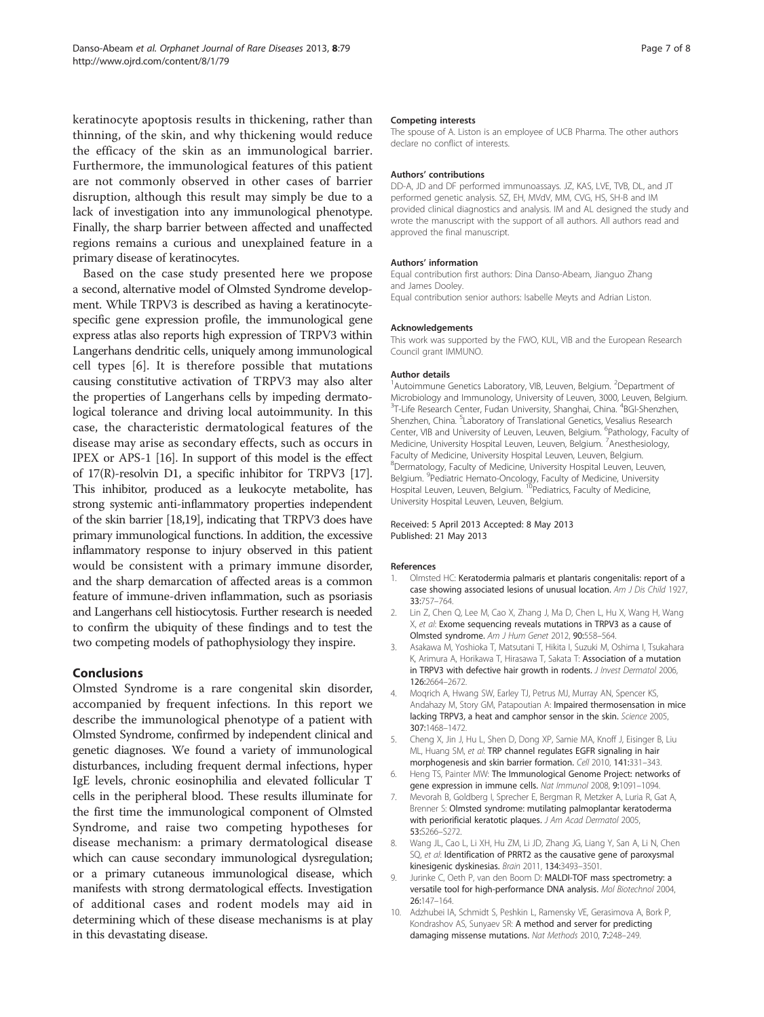<span id="page-6-0"></span>keratinocyte apoptosis results in thickening, rather than thinning, of the skin, and why thickening would reduce the efficacy of the skin as an immunological barrier. Furthermore, the immunological features of this patient are not commonly observed in other cases of barrier disruption, although this result may simply be due to a lack of investigation into any immunological phenotype. Finally, the sharp barrier between affected and unaffected regions remains a curious and unexplained feature in a primary disease of keratinocytes.

Based on the case study presented here we propose a second, alternative model of Olmsted Syndrome development. While TRPV3 is described as having a keratinocytespecific gene expression profile, the immunological gene express atlas also reports high expression of TRPV3 within Langerhans dendritic cells, uniquely among immunological cell types [6]. It is therefore possible that mutations causing constitutive activation of TRPV3 may also alter the properties of Langerhans cells by impeding dermatological tolerance and driving local autoimmunity. In this case, the characteristic dermatological features of the disease may arise as secondary effects, such as occurs in IPEX or APS-1 [\[16\]](#page-7-0). In support of this model is the effect of 17(R)-resolvin D1, a specific inhibitor for TRPV3 [\[17](#page-7-0)]. This inhibitor, produced as a leukocyte metabolite, has strong systemic anti-inflammatory properties independent of the skin barrier [[18,19](#page-7-0)], indicating that TRPV3 does have primary immunological functions. In addition, the excessive inflammatory response to injury observed in this patient would be consistent with a primary immune disorder, and the sharp demarcation of affected areas is a common feature of immune-driven inflammation, such as psoriasis and Langerhans cell histiocytosis. Further research is needed to confirm the ubiquity of these findings and to test the two competing models of pathophysiology they inspire.

# Conclusions

Olmsted Syndrome is a rare congenital skin disorder, accompanied by frequent infections. In this report we describe the immunological phenotype of a patient with Olmsted Syndrome, confirmed by independent clinical and genetic diagnoses. We found a variety of immunological disturbances, including frequent dermal infections, hyper IgE levels, chronic eosinophilia and elevated follicular T cells in the peripheral blood. These results illuminate for the first time the immunological component of Olmsted Syndrome, and raise two competing hypotheses for disease mechanism: a primary dermatological disease which can cause secondary immunological dysregulation; or a primary cutaneous immunological disease, which manifests with strong dermatological effects. Investigation of additional cases and rodent models may aid in determining which of these disease mechanisms is at play in this devastating disease.

#### Competing interests

The spouse of A. Liston is an employee of UCB Pharma. The other authors declare no conflict of interests.

#### Authors' contributions

DD-A, JD and DF performed immunoassays. JZ, KAS, LVE, TVB, DL, and JT performed genetic analysis. SZ, EH, MVdV, MM, CVG, HS, SH-B and IM provided clinical diagnostics and analysis. IM and AL designed the study and wrote the manuscript with the support of all authors. All authors read and approved the final manuscript.

#### Authors' information

Equal contribution first authors: Dina Danso-Abeam, Jianguo Zhang and James Dooley.

Equal contribution senior authors: Isabelle Meyts and Adrian Liston.

#### Acknowledgements

This work was supported by the FWO, KUL, VIB and the European Research Council grant IMMUNO.

#### Author details

<sup>1</sup> Autoimmune Genetics Laboratory, VIB, Leuven, Belgium. <sup>2</sup>Department of Microbiology and Immunology, University of Leuven, 3000, Leuven, Belgium. <sup>3</sup>T-Life Research Center, Fudan University, Shanghai, China. <sup>4</sup>BGI-Shenzhen Shenzhen, China. <sup>5</sup>Laboratory of Translational Genetics, Vesalius Research Center, VIB and University of Leuven, Leuven, Belgium. <sup>6</sup>Pathology, Faculty of Medicine, University Hospital Leuven, Leuven, Belgium. <sup>7</sup>Anesthesiology Faculty of Medicine, University Hospital Leuven, Leuven, Belgium. 8 Dermatology, Faculty of Medicine, University Hospital Leuven, Leuven, Belgium. <sup>9</sup>Pediatric Hemato-Oncology, Faculty of Medicine, University Hospital Leuven, Leuven, Belgium. <sup>10</sup>Pediatrics, Faculty of Medicine, University Hospital Leuven, Leuven, Belgium.

#### Received: 5 April 2013 Accepted: 8 May 2013 Published: 21 May 2013

#### References

- 1. Olmsted HC: Keratodermia palmaris et plantaris congenitalis: report of a case showing associated lesions of unusual location. Am J Dis Child 1927, 33:757–764.
- 2. Lin Z, Chen Q, Lee M, Cao X, Zhang J, Ma D, Chen L, Hu X, Wang H, Wang X, et al: Exome sequencing reveals mutations in TRPV3 as a cause of Olmsted syndrome. Am J Hum Genet 2012, 90:558–564.
- 3. Asakawa M, Yoshioka T, Matsutani T, Hikita I, Suzuki M, Oshima I, Tsukahara K, Arimura A, Horikawa T, Hirasawa T, Sakata T: Association of a mutation in TRPV3 with defective hair growth in rodents. J Invest Dermatol 2006, 126:2664–2672.
- 4. Moqrich A, Hwang SW, Earley TJ, Petrus MJ, Murray AN, Spencer KS, Andahazy M, Story GM, Patapoutian A: Impaired thermosensation in mice lacking TRPV3, a heat and camphor sensor in the skin. Science 2005, 307:1468–1472.
- 5. Cheng X, Jin J, Hu L, Shen D, Dong XP, Samie MA, Knoff J, Eisinger B, Liu ML, Huang SM, et al: TRP channel regulates EGFR signaling in hair morphogenesis and skin barrier formation. Cell 2010, 141:331–343.
- 6. Heng TS, Painter MW: The Immunological Genome Project: networks of gene expression in immune cells. Nat Immunol 2008, 9:1091–1094.
- 7. Mevorah B, Goldberg I, Sprecher E, Bergman R, Metzker A, Luria R, Gat A, Brenner S: Olmsted syndrome: mutilating palmoplantar keratoderma with periorificial keratotic plaques. J Am Acad Dermatol 2005, 53:S266–S272.
- 8. Wang JL, Cao L, Li XH, Hu ZM, Li JD, Zhang JG, Liang Y, San A, Li N, Chen SQ, et al: Identification of PRRT2 as the causative gene of paroxysmal kinesigenic dyskinesias. Brain 2011, 134:3493–3501.
- Jurinke C, Oeth P, van den Boom D: MALDI-TOF mass spectrometry: a versatile tool for high-performance DNA analysis. Mol Biotechnol 2004, 26:147–164.
- 10. Adzhubei IA, Schmidt S, Peshkin L, Ramensky VE, Gerasimova A, Bork P, Kondrashov AS, Sunyaev SR: A method and server for predicting damaging missense mutations. Nat Methods 2010, 7:248–249.